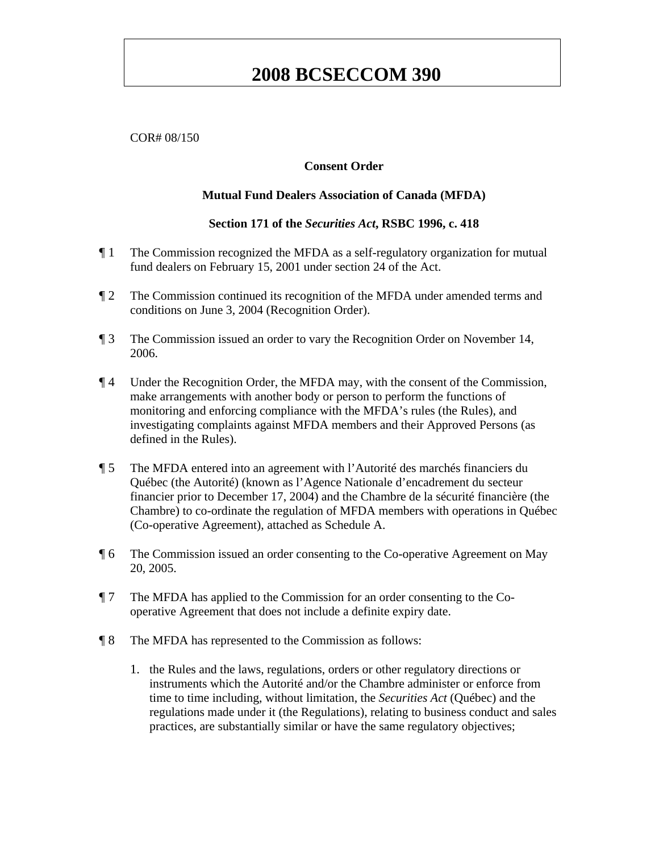#### COR# 08/150

#### **Consent Order**

#### **Mutual Fund Dealers Association of Canada (MFDA)**

#### **Section 171 of the** *Securities Act***, RSBC 1996, c. 418**

- ¶ 1 The Commission recognized the MFDA as a self-regulatory organization for mutual fund dealers on February 15, 2001 under section 24 of the Act.
- ¶ 2 The Commission continued its recognition of the MFDA under amended terms and conditions on June 3, 2004 (Recognition Order).
- ¶ 3 The Commission issued an order to vary the Recognition Order on November 14, 2006.
- ¶ 4 Under the Recognition Order, the MFDA may, with the consent of the Commission, make arrangements with another body or person to perform the functions of monitoring and enforcing compliance with the MFDA's rules (the Rules), and investigating complaints against MFDA members and their Approved Persons (as defined in the Rules).
- ¶ 5 The MFDA entered into an agreement with l'Autorité des marchés financiers du Québec (the Autorité) (known as l'Agence Nationale d'encadrement du secteur financier prior to December 17, 2004) and the Chambre de la sécurité financière (the Chambre) to co-ordinate the regulation of MFDA members with operations in Québec (Co-operative Agreement), attached as Schedule A.
- ¶ 6 The Commission issued an order consenting to the Co-operative Agreement on May 20, 2005.
- ¶ 7 The MFDA has applied to the Commission for an order consenting to the Cooperative Agreement that does not include a definite expiry date.
- ¶ 8 The MFDA has represented to the Commission as follows:
	- 1. the Rules and the laws, regulations, orders or other regulatory directions or instruments which the Autorité and/or the Chambre administer or enforce from time to time including, without limitation, the *Securities Act* (Québec) and the regulations made under it (the Regulations), relating to business conduct and sales practices, are substantially similar or have the same regulatory objectives;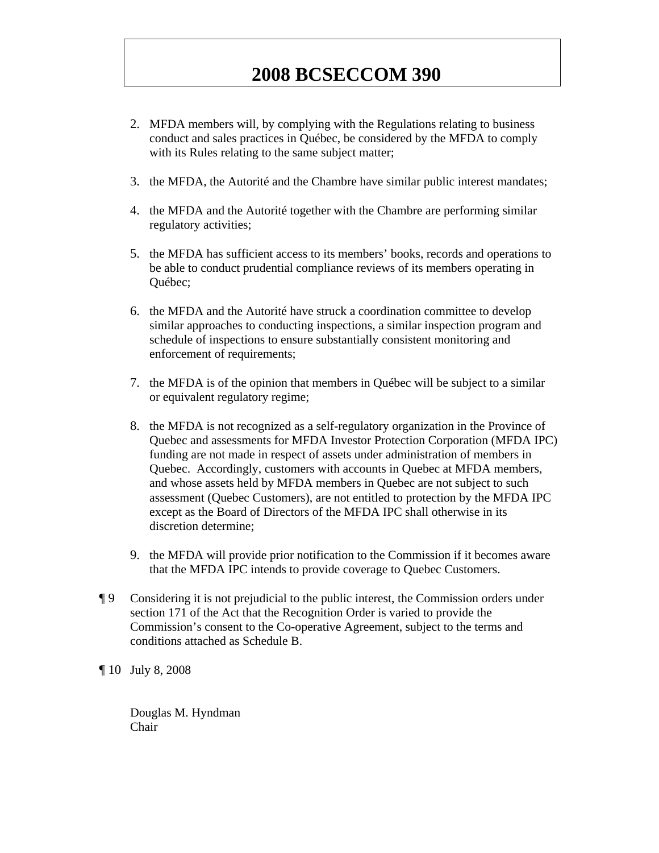- 2. MFDA members will, by complying with the Regulations relating to business conduct and sales practices in Québec, be considered by the MFDA to comply with its Rules relating to the same subject matter;
- 3. the MFDA, the Autorité and the Chambre have similar public interest mandates;
- 4. the MFDA and the Autorité together with the Chambre are performing similar regulatory activities;
- 5. the MFDA has sufficient access to its members' books, records and operations to be able to conduct prudential compliance reviews of its members operating in Québec;
- 6. the MFDA and the Autorité have struck a coordination committee to develop similar approaches to conducting inspections, a similar inspection program and schedule of inspections to ensure substantially consistent monitoring and enforcement of requirements;
- 7. the MFDA is of the opinion that members in Québec will be subject to a similar or equivalent regulatory regime;
- 8. the MFDA is not recognized as a self-regulatory organization in the Province of Quebec and assessments for MFDA Investor Protection Corporation (MFDA IPC) funding are not made in respect of assets under administration of members in Quebec. Accordingly, customers with accounts in Quebec at MFDA members, and whose assets held by MFDA members in Quebec are not subject to such assessment (Quebec Customers), are not entitled to protection by the MFDA IPC except as the Board of Directors of the MFDA IPC shall otherwise in its discretion determine;
- 9. the MFDA will provide prior notification to the Commission if it becomes aware that the MFDA IPC intends to provide coverage to Quebec Customers.
- ¶ 9 Considering it is not prejudicial to the public interest, the Commission orders under section 171 of the Act that the Recognition Order is varied to provide the Commission's consent to the Co-operative Agreement, subject to the terms and conditions attached as Schedule B.
- ¶ 10 July 8, 2008

Douglas M. Hyndman Chair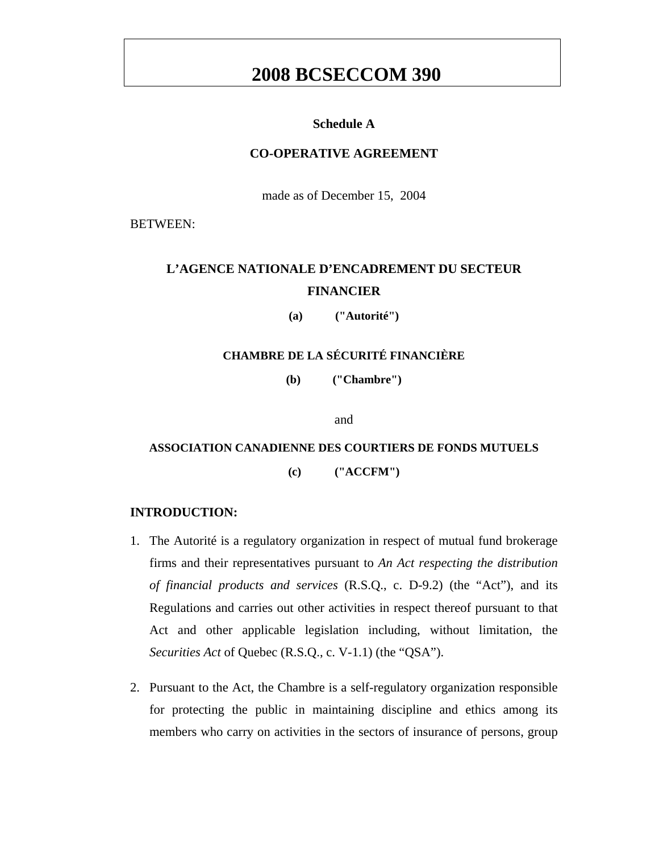### **Schedule A**

### **CO-OPERATIVE AGREEMENT**

made as of December 15, 2004

BETWEEN:

# **L'AGENCE NATIONALE D'ENCADREMENT DU SECTEUR FINANCIER**

**(a) ("Autorité")** 

### **CHAMBRE DE LA SÉCURITÉ FINANCIÈRE**

**(b) ("Chambre")** 

and

# **ASSOCIATION CANADIENNE DES COURTIERS DE FONDS MUTUELS**

**(c) ("ACCFM")** 

#### **INTRODUCTION:**

- 1. The Autorité is a regulatory organization in respect of mutual fund brokerage firms and their representatives pursuant to *An Act respecting the distribution of financial products and services* (R.S.Q., c. D-9.2) (the "Act"), and its Regulations and carries out other activities in respect thereof pursuant to that Act and other applicable legislation including, without limitation, the *Securities Act* of Quebec (R.S.Q., c. V-1.1) (the "QSA").
- 2. Pursuant to the Act, the Chambre is a self-regulatory organization responsible for protecting the public in maintaining discipline and ethics among its members who carry on activities in the sectors of insurance of persons, group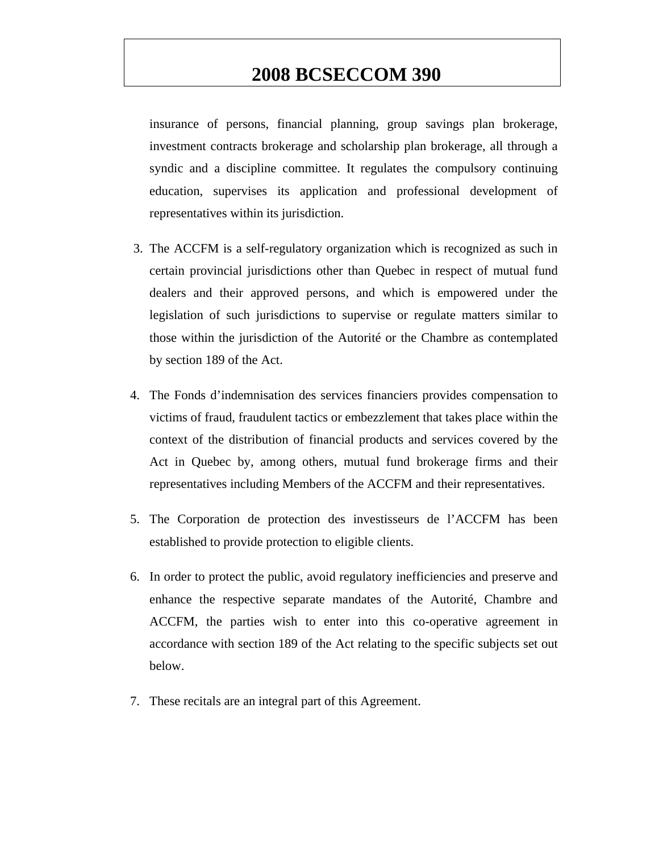insurance of persons, financial planning, group savings plan brokerage, investment contracts brokerage and scholarship plan brokerage, all through a syndic and a discipline committee. It regulates the compulsory continuing education, supervises its application and professional development of representatives within its jurisdiction.

- 3. The ACCFM is a self-regulatory organization which is recognized as such in certain provincial jurisdictions other than Quebec in respect of mutual fund dealers and their approved persons, and which is empowered under the legislation of such jurisdictions to supervise or regulate matters similar to those within the jurisdiction of the Autorité or the Chambre as contemplated by section 189 of the Act.
- 4. The Fonds d'indemnisation des services financiers provides compensation to victims of fraud, fraudulent tactics or embezzlement that takes place within the context of the distribution of financial products and services covered by the Act in Quebec by, among others, mutual fund brokerage firms and their representatives including Members of the ACCFM and their representatives.
- 5. The Corporation de protection des investisseurs de l'ACCFM has been established to provide protection to eligible clients.
- 6. In order to protect the public, avoid regulatory inefficiencies and preserve and enhance the respective separate mandates of the Autorité, Chambre and ACCFM, the parties wish to enter into this co-operative agreement in accordance with section 189 of the Act relating to the specific subjects set out below.
- 7. These recitals are an integral part of this Agreement.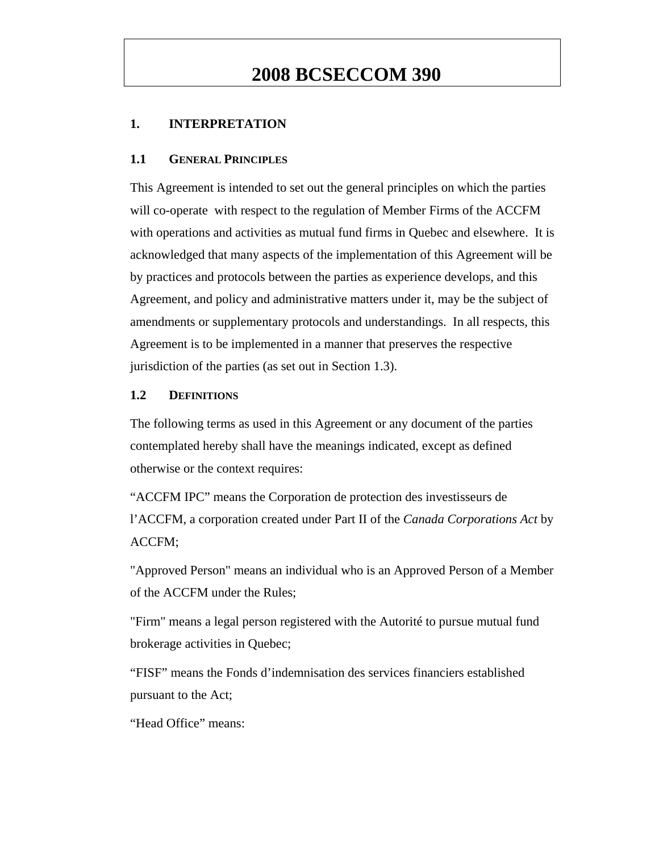### **1. INTERPRETATION**

#### **1.1 GENERAL PRINCIPLES**

This Agreement is intended to set out the general principles on which the parties will co-operate with respect to the regulation of Member Firms of the ACCFM with operations and activities as mutual fund firms in Quebec and elsewhere. It is acknowledged that many aspects of the implementation of this Agreement will be by practices and protocols between the parties as experience develops, and this Agreement, and policy and administrative matters under it, may be the subject of amendments or supplementary protocols and understandings. In all respects, this Agreement is to be implemented in a manner that preserves the respective jurisdiction of the parties (as set out in Section 1.3).

#### **1.2 DEFINITIONS**

The following terms as used in this Agreement or any document of the parties contemplated hereby shall have the meanings indicated, except as defined otherwise or the context requires:

"ACCFM IPC" means the Corporation de protection des investisseurs de l'ACCFM, a corporation created under Part II of the *Canada Corporations Act* by ACCFM;

"Approved Person" means an individual who is an Approved Person of a Member of the ACCFM under the Rules;

"Firm" means a legal person registered with the Autorité to pursue mutual fund brokerage activities in Quebec;

"FISF" means the Fonds d'indemnisation des services financiers established pursuant to the Act;

"Head Office" means: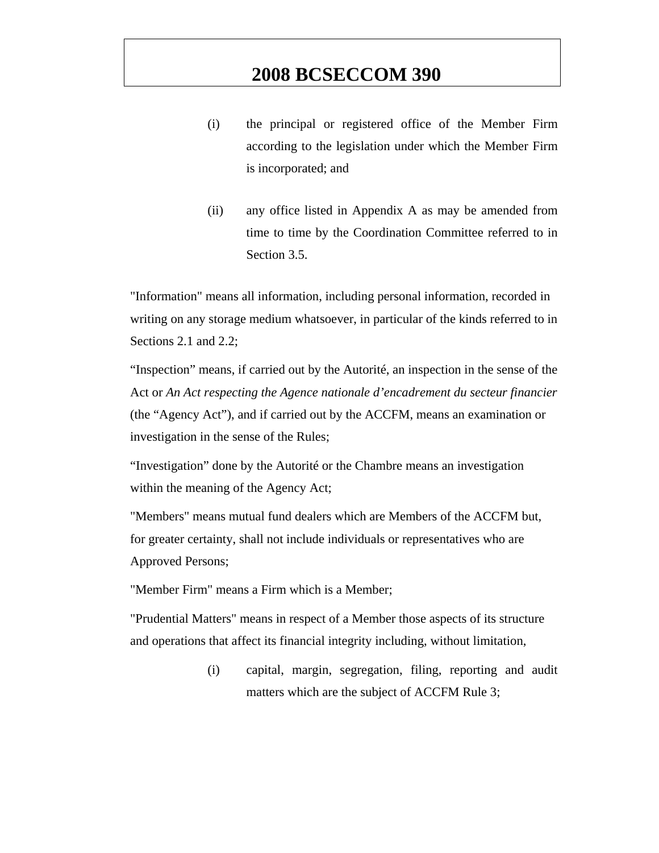- (i) the principal or registered office of the Member Firm according to the legislation under which the Member Firm is incorporated; and
- (ii) any office listed in Appendix A as may be amended from time to time by the Coordination Committee referred to in Section 3.5.

"Information" means all information, including personal information, recorded in writing on any storage medium whatsoever, in particular of the kinds referred to in Sections 2.1 and 2.2;

"Inspection" means, if carried out by the Autorité, an inspection in the sense of the Act or *An Act respecting the Agence nationale d'encadrement du secteur financier*  (the "Agency Act"), and if carried out by the ACCFM, means an examination or investigation in the sense of the Rules;

"Investigation" done by the Autorité or the Chambre means an investigation within the meaning of the Agency Act;

"Members" means mutual fund dealers which are Members of the ACCFM but, for greater certainty, shall not include individuals or representatives who are Approved Persons;

"Member Firm" means a Firm which is a Member;

"Prudential Matters" means in respect of a Member those aspects of its structure and operations that affect its financial integrity including, without limitation,

> (i) capital, margin, segregation, filing, reporting and audit matters which are the subject of ACCFM Rule 3;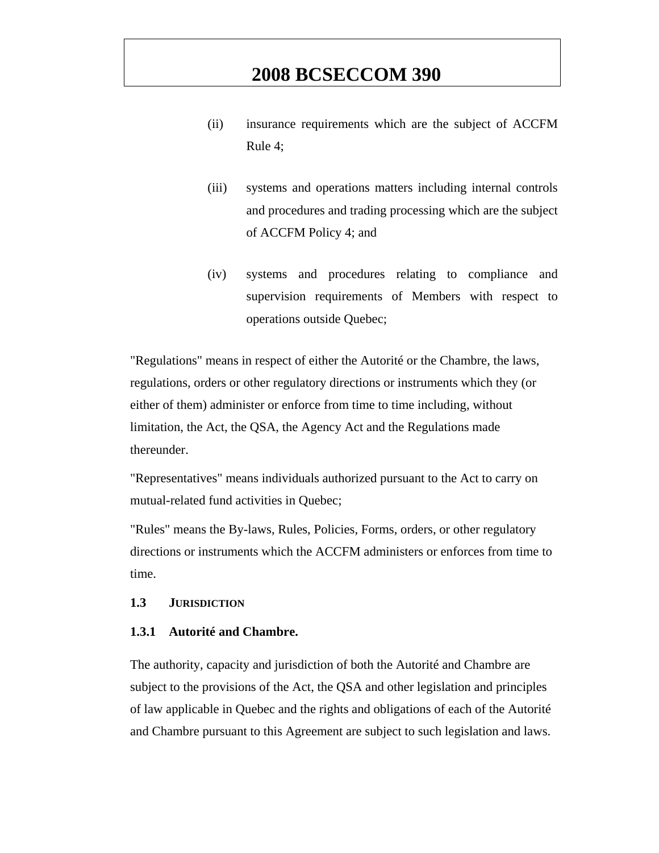- (ii) insurance requirements which are the subject of ACCFM Rule 4;
- (iii) systems and operations matters including internal controls and procedures and trading processing which are the subject of ACCFM Policy 4; and
- (iv) systems and procedures relating to compliance and supervision requirements of Members with respect to operations outside Quebec;

"Regulations" means in respect of either the Autorité or the Chambre, the laws, regulations, orders or other regulatory directions or instruments which they (or either of them) administer or enforce from time to time including, without limitation, the Act, the QSA, the Agency Act and the Regulations made thereunder.

"Representatives" means individuals authorized pursuant to the Act to carry on mutual-related fund activities in Quebec;

"Rules" means the By-laws, Rules, Policies, Forms, orders, or other regulatory directions or instruments which the ACCFM administers or enforces from time to time.

#### **1.3 JURISDICTION**

#### **1.3.1 Autorité and Chambre.**

The authority, capacity and jurisdiction of both the Autorité and Chambre are subject to the provisions of the Act, the QSA and other legislation and principles of law applicable in Quebec and the rights and obligations of each of the Autorité and Chambre pursuant to this Agreement are subject to such legislation and laws.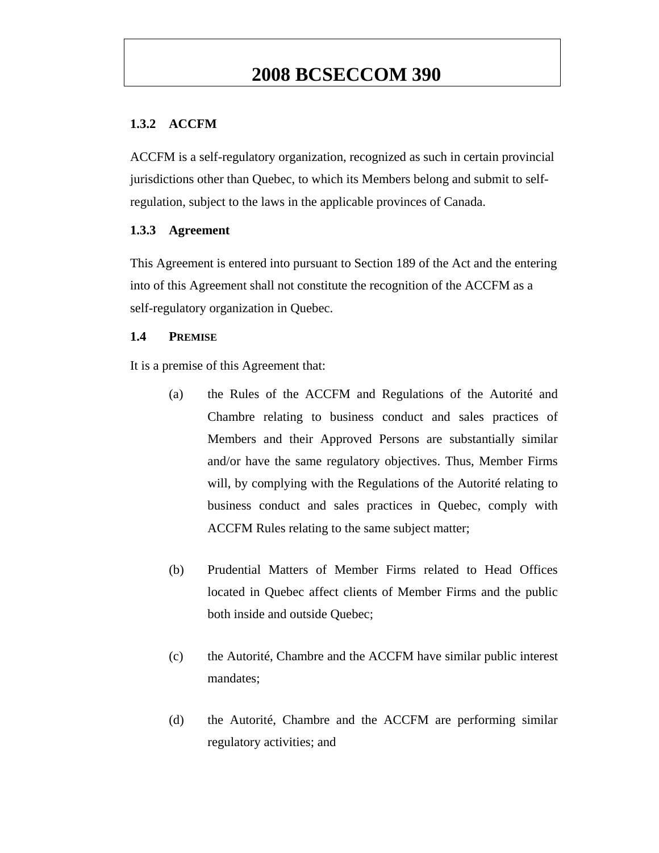### **1.3.2 ACCFM**

ACCFM is a self-regulatory organization, recognized as such in certain provincial jurisdictions other than Quebec, to which its Members belong and submit to selfregulation, subject to the laws in the applicable provinces of Canada.

### **1.3.3 Agreement**

This Agreement is entered into pursuant to Section 189 of the Act and the entering into of this Agreement shall not constitute the recognition of the ACCFM as a self-regulatory organization in Quebec.

### **1.4 PREMISE**

It is a premise of this Agreement that:

- (a) the Rules of the ACCFM and Regulations of the Autorité and Chambre relating to business conduct and sales practices of Members and their Approved Persons are substantially similar and/or have the same regulatory objectives. Thus, Member Firms will, by complying with the Regulations of the Autorité relating to business conduct and sales practices in Quebec, comply with ACCFM Rules relating to the same subject matter;
- (b) Prudential Matters of Member Firms related to Head Offices located in Quebec affect clients of Member Firms and the public both inside and outside Quebec;
- (c) the Autorité, Chambre and the ACCFM have similar public interest mandates;
- (d) the Autorité, Chambre and the ACCFM are performing similar regulatory activities; and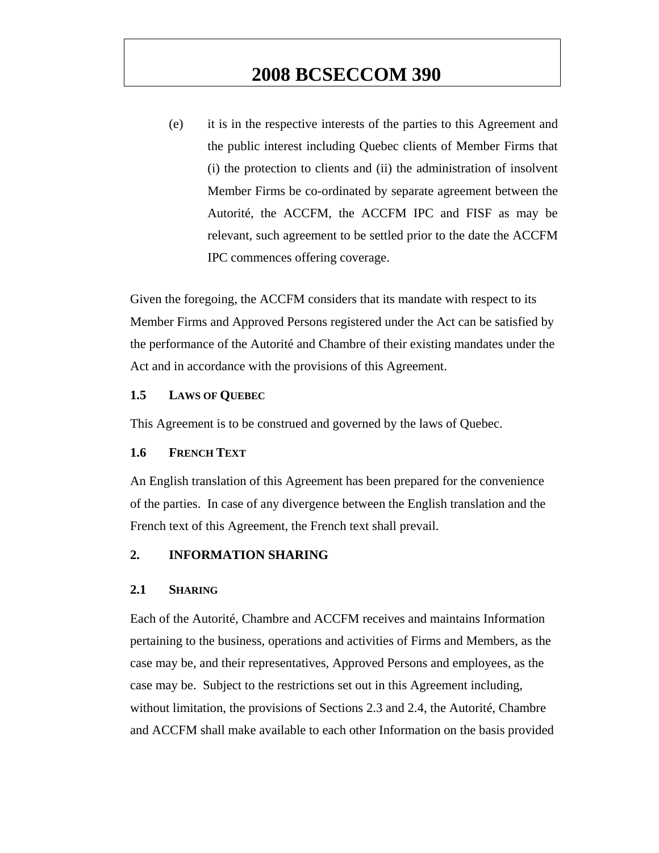(e) it is in the respective interests of the parties to this Agreement and the public interest including Quebec clients of Member Firms that (i) the protection to clients and (ii) the administration of insolvent Member Firms be co-ordinated by separate agreement between the Autorité, the ACCFM, the ACCFM IPC and FISF as may be relevant, such agreement to be settled prior to the date the ACCFM IPC commences offering coverage.

Given the foregoing, the ACCFM considers that its mandate with respect to its Member Firms and Approved Persons registered under the Act can be satisfied by the performance of the Autorité and Chambre of their existing mandates under the Act and in accordance with the provisions of this Agreement.

#### **1.5 LAWS OF QUEBEC**

This Agreement is to be construed and governed by the laws of Quebec.

### **1.6 FRENCH TEXT**

An English translation of this Agreement has been prepared for the convenience of the parties. In case of any divergence between the English translation and the French text of this Agreement, the French text shall prevail.

### **2. INFORMATION SHARING**

#### **2.1 SHARING**

Each of the Autorité, Chambre and ACCFM receives and maintains Information pertaining to the business, operations and activities of Firms and Members, as the case may be, and their representatives, Approved Persons and employees, as the case may be. Subject to the restrictions set out in this Agreement including, without limitation, the provisions of Sections 2.3 and 2.4, the Autorité, Chambre and ACCFM shall make available to each other Information on the basis provided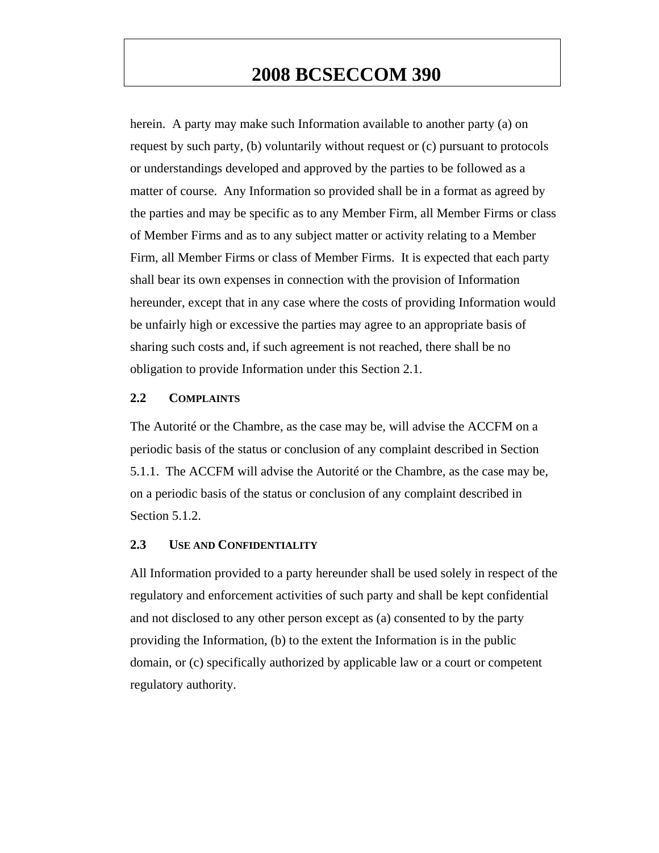herein. A party may make such Information available to another party (a) on request by such party, (b) voluntarily without request or (c) pursuant to protocols or understandings developed and approved by the parties to be followed as a matter of course. Any Information so provided shall be in a format as agreed by the parties and may be specific as to any Member Firm, all Member Firms or class of Member Firms and as to any subject matter or activity relating to a Member Firm, all Member Firms or class of Member Firms. It is expected that each party shall bear its own expenses in connection with the provision of Information hereunder, except that in any case where the costs of providing Information would be unfairly high or excessive the parties may agree to an appropriate basis of sharing such costs and, if such agreement is not reached, there shall be no obligation to provide Information under this Section 2.1.

### **2.2 COMPLAINTS**

The Autorité or the Chambre, as the case may be, will advise the ACCFM on a periodic basis of the status or conclusion of any complaint described in Section 5.1.1. The ACCFM will advise the Autorité or the Chambre, as the case may be, on a periodic basis of the status or conclusion of any complaint described in Section 5.1.2.

#### **2.3 USE AND CONFIDENTIALITY**

All Information provided to a party hereunder shall be used solely in respect of the regulatory and enforcement activities of such party and shall be kept confidential and not disclosed to any other person except as (a) consented to by the party providing the Information, (b) to the extent the Information is in the public domain, or (c) specifically authorized by applicable law or a court or competent regulatory authority.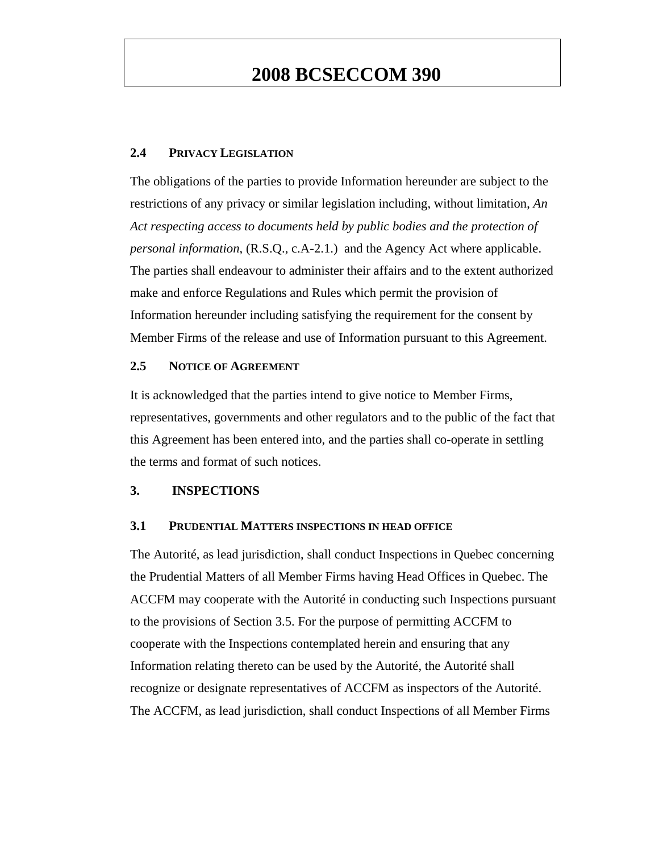#### **2.4 PRIVACY LEGISLATION**

The obligations of the parties to provide Information hereunder are subject to the restrictions of any privacy or similar legislation including, without limitation, *An Act respecting access to documents held by public bodies and the protection of personal information*, (R.S.Q., c.A-2.1.) and the Agency Act where applicable. The parties shall endeavour to administer their affairs and to the extent authorized make and enforce Regulations and Rules which permit the provision of Information hereunder including satisfying the requirement for the consent by Member Firms of the release and use of Information pursuant to this Agreement.

#### **2.5 NOTICE OF AGREEMENT**

It is acknowledged that the parties intend to give notice to Member Firms, representatives, governments and other regulators and to the public of the fact that this Agreement has been entered into, and the parties shall co-operate in settling the terms and format of such notices.

#### **3. INSPECTIONS**

#### **3.1 PRUDENTIAL MATTERS INSPECTIONS IN HEAD OFFICE**

The Autorité, as lead jurisdiction, shall conduct Inspections in Quebec concerning the Prudential Matters of all Member Firms having Head Offices in Quebec. The ACCFM may cooperate with the Autorité in conducting such Inspections pursuant to the provisions of Section 3.5. For the purpose of permitting ACCFM to cooperate with the Inspections contemplated herein and ensuring that any Information relating thereto can be used by the Autorité, the Autorité shall recognize or designate representatives of ACCFM as inspectors of the Autorité. The ACCFM, as lead jurisdiction, shall conduct Inspections of all Member Firms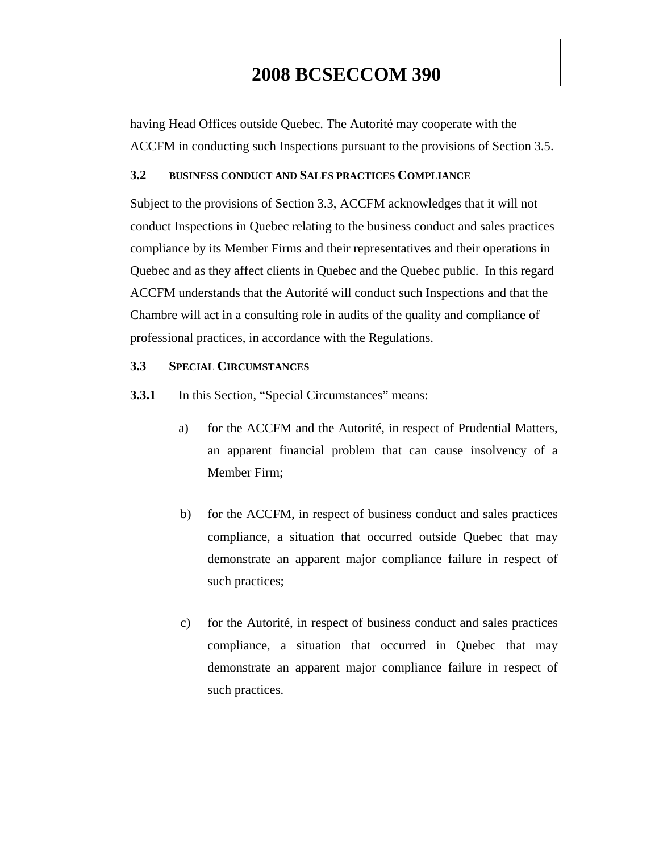having Head Offices outside Quebec. The Autorité may cooperate with the ACCFM in conducting such Inspections pursuant to the provisions of Section 3.5.

### **3.2 BUSINESS CONDUCT AND SALES PRACTICES COMPLIANCE**

Subject to the provisions of Section 3.3, ACCFM acknowledges that it will not conduct Inspections in Quebec relating to the business conduct and sales practices compliance by its Member Firms and their representatives and their operations in Quebec and as they affect clients in Quebec and the Quebec public. In this regard ACCFM understands that the Autorité will conduct such Inspections and that the Chambre will act in a consulting role in audits of the quality and compliance of professional practices, in accordance with the Regulations.

#### **3.3 SPECIAL CIRCUMSTANCES**

**3.3.1** In this Section, "Special Circumstances" means:

- a) for the ACCFM and the Autorité, in respect of Prudential Matters, an apparent financial problem that can cause insolvency of a Member Firm;
- b) for the ACCFM, in respect of business conduct and sales practices compliance, a situation that occurred outside Quebec that may demonstrate an apparent major compliance failure in respect of such practices;
- c) for the Autorité, in respect of business conduct and sales practices compliance, a situation that occurred in Quebec that may demonstrate an apparent major compliance failure in respect of such practices.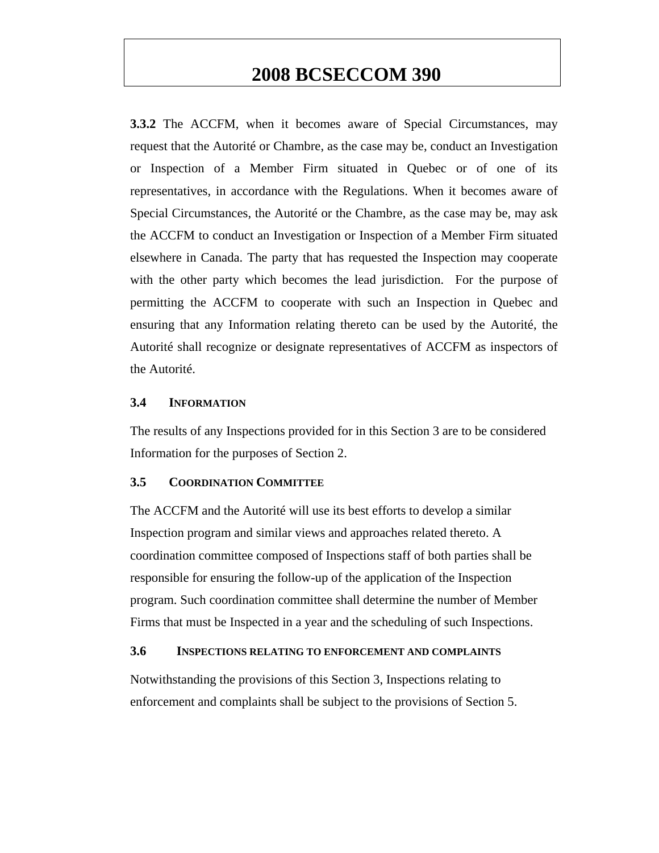**3.3.2** The ACCFM, when it becomes aware of Special Circumstances, may request that the Autorité or Chambre, as the case may be, conduct an Investigation or Inspection of a Member Firm situated in Quebec or of one of its representatives, in accordance with the Regulations. When it becomes aware of Special Circumstances, the Autorité or the Chambre, as the case may be, may ask the ACCFM to conduct an Investigation or Inspection of a Member Firm situated elsewhere in Canada. The party that has requested the Inspection may cooperate with the other party which becomes the lead jurisdiction. For the purpose of permitting the ACCFM to cooperate with such an Inspection in Quebec and ensuring that any Information relating thereto can be used by the Autorité, the Autorité shall recognize or designate representatives of ACCFM as inspectors of the Autorité.

#### **3.4 INFORMATION**

The results of any Inspections provided for in this Section 3 are to be considered Information for the purposes of Section 2.

#### **3.5 COORDINATION COMMITTEE**

The ACCFM and the Autorité will use its best efforts to develop a similar Inspection program and similar views and approaches related thereto. A coordination committee composed of Inspections staff of both parties shall be responsible for ensuring the follow-up of the application of the Inspection program. Such coordination committee shall determine the number of Member Firms that must be Inspected in a year and the scheduling of such Inspections.

#### **3.6 INSPECTIONS RELATING TO ENFORCEMENT AND COMPLAINTS**

Notwithstanding the provisions of this Section 3, Inspections relating to enforcement and complaints shall be subject to the provisions of Section 5.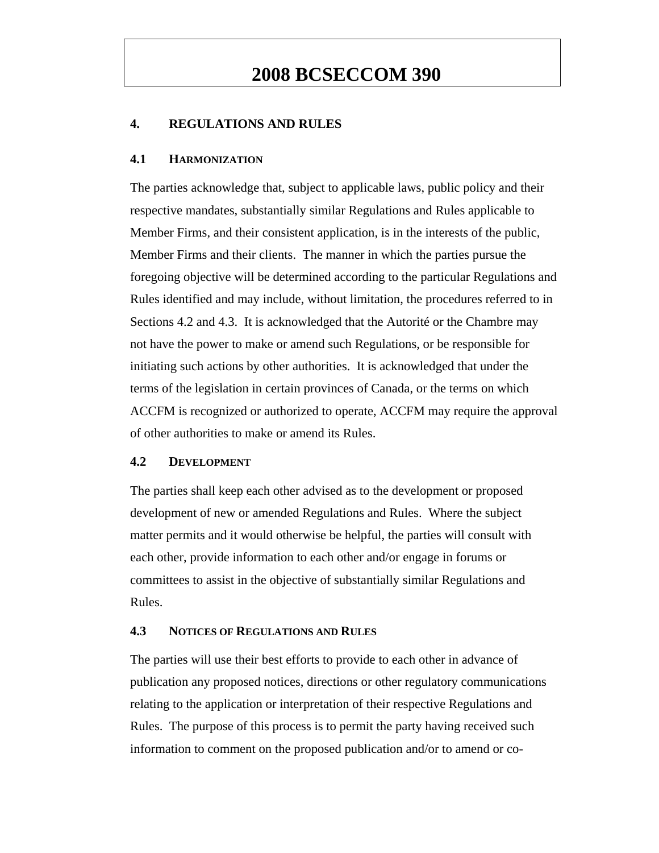### **4. REGULATIONS AND RULES**

#### **4.1 HARMONIZATION**

The parties acknowledge that, subject to applicable laws, public policy and their respective mandates, substantially similar Regulations and Rules applicable to Member Firms, and their consistent application, is in the interests of the public, Member Firms and their clients. The manner in which the parties pursue the foregoing objective will be determined according to the particular Regulations and Rules identified and may include, without limitation, the procedures referred to in Sections 4.2 and 4.3. It is acknowledged that the Autorité or the Chambre may not have the power to make or amend such Regulations, or be responsible for initiating such actions by other authorities. It is acknowledged that under the terms of the legislation in certain provinces of Canada, or the terms on which ACCFM is recognized or authorized to operate, ACCFM may require the approval of other authorities to make or amend its Rules.

### **4.2 DEVELOPMENT**

The parties shall keep each other advised as to the development or proposed development of new or amended Regulations and Rules. Where the subject matter permits and it would otherwise be helpful, the parties will consult with each other, provide information to each other and/or engage in forums or committees to assist in the objective of substantially similar Regulations and Rules.

### **4.3 NOTICES OF REGULATIONS AND RULES**

The parties will use their best efforts to provide to each other in advance of publication any proposed notices, directions or other regulatory communications relating to the application or interpretation of their respective Regulations and Rules. The purpose of this process is to permit the party having received such information to comment on the proposed publication and/or to amend or co-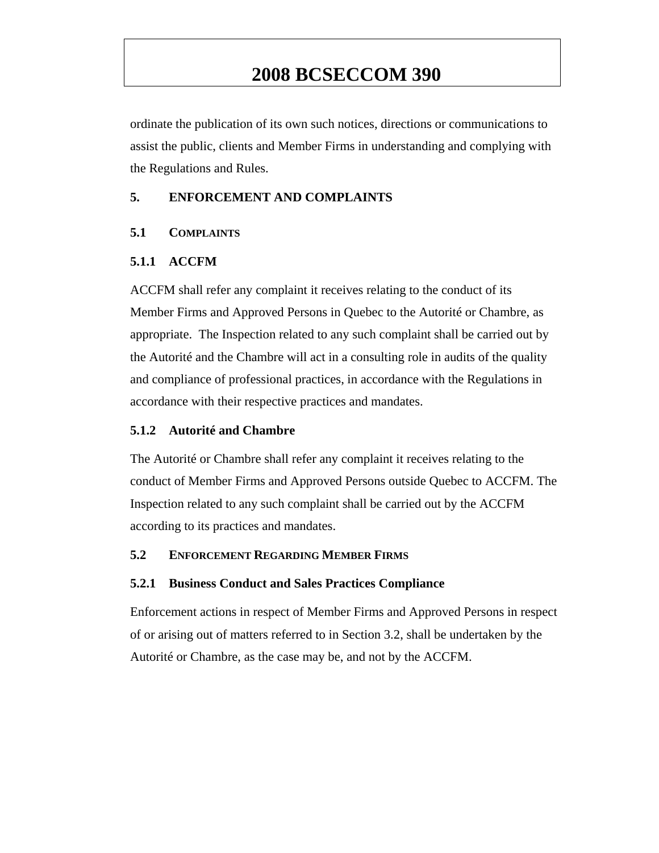ordinate the publication of its own such notices, directions or communications to assist the public, clients and Member Firms in understanding and complying with the Regulations and Rules.

### **5. ENFORCEMENT AND COMPLAINTS**

### **5.1 COMPLAINTS**

### **5.1.1 ACCFM**

ACCFM shall refer any complaint it receives relating to the conduct of its Member Firms and Approved Persons in Quebec to the Autorité or Chambre, as appropriate. The Inspection related to any such complaint shall be carried out by the Autorité and the Chambre will act in a consulting role in audits of the quality and compliance of professional practices, in accordance with the Regulations in accordance with their respective practices and mandates.

### **5.1.2 Autorité and Chambre**

The Autorité or Chambre shall refer any complaint it receives relating to the conduct of Member Firms and Approved Persons outside Quebec to ACCFM. The Inspection related to any such complaint shall be carried out by the ACCFM according to its practices and mandates.

### **5.2 ENFORCEMENT REGARDING MEMBER FIRMS**

### **5.2.1 Business Conduct and Sales Practices Compliance**

Enforcement actions in respect of Member Firms and Approved Persons in respect of or arising out of matters referred to in Section 3.2, shall be undertaken by the Autorité or Chambre, as the case may be, and not by the ACCFM.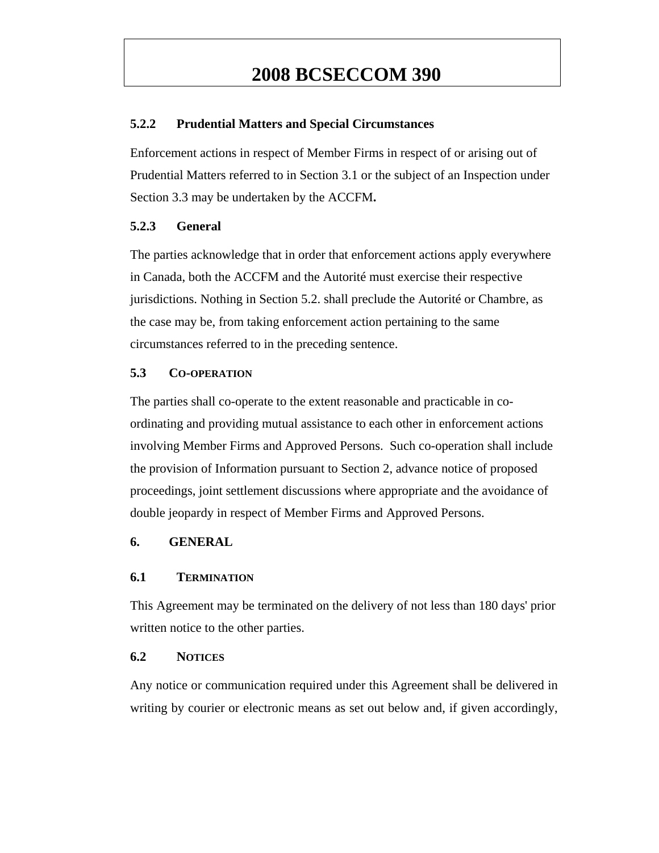### **5.2.2 Prudential Matters and Special Circumstances**

Enforcement actions in respect of Member Firms in respect of or arising out of Prudential Matters referred to in Section 3.1 or the subject of an Inspection under Section 3.3 may be undertaken by the ACCFM**.** 

### **5.2.3 General**

The parties acknowledge that in order that enforcement actions apply everywhere in Canada, both the ACCFM and the Autorité must exercise their respective jurisdictions. Nothing in Section 5.2. shall preclude the Autorité or Chambre, as the case may be, from taking enforcement action pertaining to the same circumstances referred to in the preceding sentence.

#### **5.3 CO-OPERATION**

The parties shall co-operate to the extent reasonable and practicable in coordinating and providing mutual assistance to each other in enforcement actions involving Member Firms and Approved Persons. Such co-operation shall include the provision of Information pursuant to Section 2, advance notice of proposed proceedings, joint settlement discussions where appropriate and the avoidance of double jeopardy in respect of Member Firms and Approved Persons.

### **6. GENERAL**

### **6.1 TERMINATION**

This Agreement may be terminated on the delivery of not less than 180 days' prior written notice to the other parties.

#### **6.2 NOTICES**

Any notice or communication required under this Agreement shall be delivered in writing by courier or electronic means as set out below and, if given accordingly,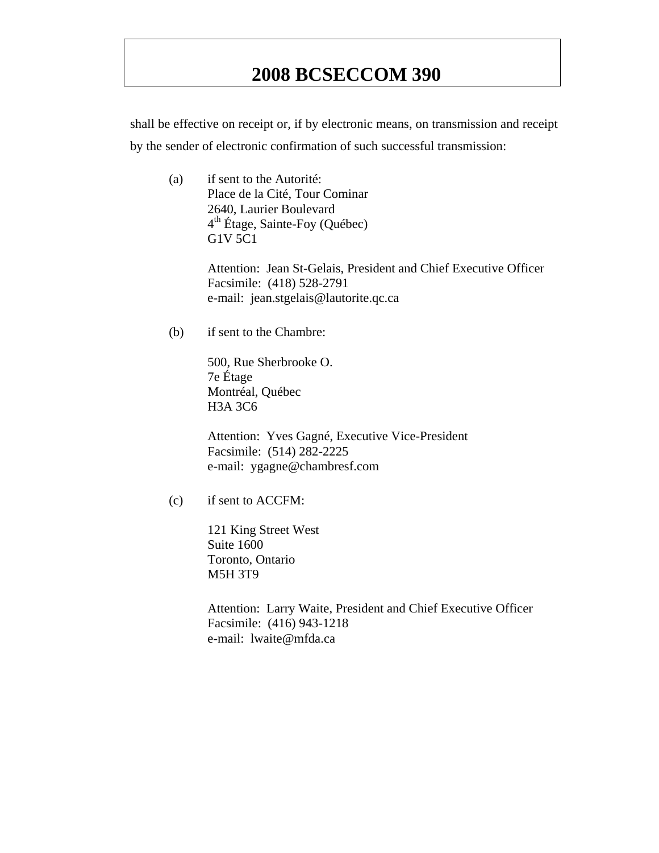shall be effective on receipt or, if by electronic means, on transmission and receipt by the sender of electronic confirmation of such successful transmission:

(a) if sent to the Autorité: Place de la Cité, Tour Cominar 2640, Laurier Boulevard  $4<sup>th</sup>$  Étage, Sainte-Foy (Québec) G1V 5C1

> Attention: Jean St-Gelais, President and Chief Executive Officer Facsimile: (418) 528-2791 e-mail: jean.stgelais@lautorite.qc.ca

(b) if sent to the Chambre:

500, Rue Sherbrooke O. 7e Étage Montréal, Québec H3A 3C6

Attention: Yves Gagné, Executive Vice-President Facsimile: (514) 282-2225 e-mail: ygagne@chambresf.com

(c) if sent to ACCFM:

121 King Street West Suite 1600 Toronto, Ontario M5H 3T9

Attention: Larry Waite, President and Chief Executive Officer Facsimile: (416) 943-1218 e-mail: lwaite@mfda.ca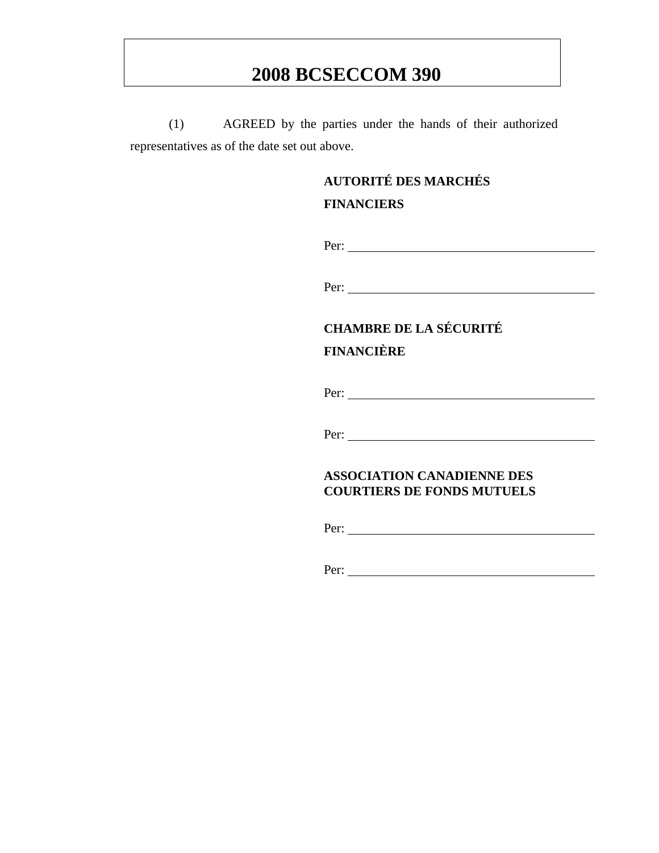(1) AGREED by the parties under the hands of their authorized representatives as of the date set out above.

# **AUTORITÉ DES MARCHÉS**

## **FINANCIERS**

Per:

Per:

# **CHAMBRE DE LA SÉCURITÉ FINANCIÈRE**

Per:

Per:

### **ASSOCIATION CANADIENNE DES COURTIERS DE FONDS MUTUELS**

Per:

Per: